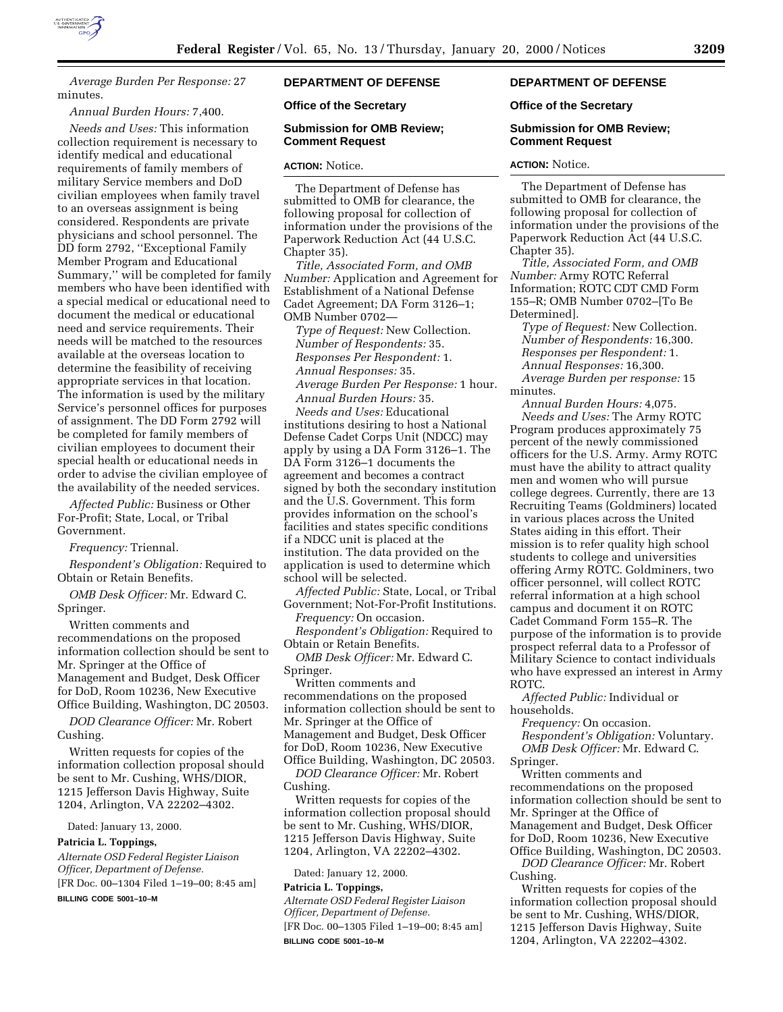

*Average Burden Per Response:* 27 minutes.

*Annual Burden Hours:* 7,400.

*Needs and Uses:* This information collection requirement is necessary to identify medical and educational requirements of family members of military Service members and DoD civilian employees when family travel to an overseas assignment is being considered. Respondents are private physicians and school personnel. The DD form 2792, ''Exceptional Family Member Program and Educational Summary,'' will be completed for family members who have been identified with a special medical or educational need to document the medical or educational need and service requirements. Their needs will be matched to the resources available at the overseas location to determine the feasibility of receiving appropriate services in that location. The information is used by the military Service's personnel offices for purposes of assignment. The DD Form 2792 will be completed for family members of civilian employees to document their special health or educational needs in order to advise the civilian employee of the availability of the needed services.

*Affected Public:* Business or Other For-Profit; State, Local, or Tribal Government.

*Frequency:* Triennal.

*Respondent's Obligation:* Required to Obtain or Retain Benefits.

*OMB Desk Officer:* Mr. Edward C. Springer.

Written comments and recommendations on the proposed information collection should be sent to Mr. Springer at the Office of Management and Budget, Desk Officer for DoD, Room 10236, New Executive Office Building, Washington, DC 20503.

*DOD Clearance Officer:* Mr. Robert Cushing.

Written requests for copies of the information collection proposal should be sent to Mr. Cushing, WHS/DIOR, 1215 Jefferson Davis Highway, Suite 1204, Arlington, VA 22202–4302.

Dated: January 13, 2000.

#### **Patricia L. Toppings,**

*Alternate OSD Federal Register Liaison Officer, Department of Defense.* [FR Doc. 00–1304 Filed 1–19–00; 8:45 am]

**BILLING CODE 5001–10–M**

# **DEPARTMENT OF DEFENSE**

## **Office of the Secretary**

#### **Submission for OMB Review; Comment Request**

#### **ACTION:** Notice.

The Department of Defense has submitted to OMB for clearance, the following proposal for collection of information under the provisions of the Paperwork Reduction Act (44 U.S.C. Chapter 35).

*Title, Associated Form, and OMB Number:* Application and Agreement for Establishment of a National Defense Cadet Agreement; DA Form 3126–1; OMB Number 0702—

*Type of Request:* New Collection. *Number of Respondents:* 35. *Responses Per Respondent:* 1. *Annual Responses:* 35. *Average Burden Per Response:* 1 hour. *Annual Burden Hours:* 35.

*Needs and Uses:* Educational institutions desiring to host a National Defense Cadet Corps Unit (NDCC) may apply by using a DA Form 3126–1. The DA Form 3126–1 documents the agreement and becomes a contract signed by both the secondary institution and the U.S. Government. This form provides information on the school's facilities and states specific conditions if a NDCC unit is placed at the institution. The data provided on the application is used to determine which school will be selected.

*Affected Public:* State, Local, or Tribal Government; Not-For-Profit Institutions.

*Frequency:* On occasion. *Respondent's Obligation:* Required to

Obtain or Retain Benefits.

*OMB Desk Officer:* Mr. Edward C. Springer.

Written comments and recommendations on the proposed information collection should be sent to Mr. Springer at the Office of Management and Budget, Desk Officer for DoD, Room 10236, New Executive Office Building, Washington, DC 20503.

*DOD Clearance Officer:* Mr. Robert Cushing.

Written requests for copies of the information collection proposal should be sent to Mr. Cushing, WHS/DIOR, 1215 Jefferson Davis Highway, Suite 1204, Arlington, VA 22202–4302.

Dated: January 12, 2000.

## **Patricia L. Toppings,**

*Alternate OSD Federal Register Liaison Officer, Department of Defense.* [FR Doc. 00–1305 Filed 1–19–00; 8:45 am] **BILLING CODE 5001–10–M**

# **DEPARTMENT OF DEFENSE**

#### **Office of the Secretary**

#### **Submission for OMB Review; Comment Request**

#### **ACTION:** Notice.

The Department of Defense has submitted to OMB for clearance, the following proposal for collection of information under the provisions of the Paperwork Reduction Act (44 U.S.C. Chapter 35).

*Title, Associated Form, and OMB Number:* Army ROTC Referral Information; ROTC CDT CMD Form 155–R; OMB Number 0702–[To Be Determined].

*Type of Request:* New Collection. *Number of Respondents:* 16,300. *Responses per Respondent:* 1. *Annual Responses:* 16,300. *Average Burden per response:* 15

minutes. *Annual Burden Hours:* 4,075. *Needs and Uses:* The Army ROTC Program produces approximately 75 percent of the newly commissioned officers for the U.S. Army. Army ROTC must have the ability to attract quality men and women who will pursue college degrees. Currently, there are 13 Recruiting Teams (Goldminers) located in various places across the United States aiding in this effort. Their mission is to refer quality high school students to college and universities offering Army ROTC. Goldminers, two officer personnel, will collect ROTC referral information at a high school campus and document it on ROTC Cadet Command Form 155–R. The purpose of the information is to provide prospect referral data to a Professor of Military Science to contact individuals who have expressed an interest in Army

ROTC. *Affected Public:* Individual or households.

*Frequency:* On occasion.

*Respondent's Obligation:* Voluntary. *OMB Desk Officer:* Mr. Edward C.

Springer.

Written comments and recommendations on the proposed information collection should be sent to Mr. Springer at the Office of Management and Budget, Desk Officer for DoD, Room 10236, New Executive Office Building, Washington, DC 20503.

*DOD Clearance Officer:* Mr. Robert Cushing.

Written requests for copies of the information collection proposal should be sent to Mr. Cushing, WHS/DIOR, 1215 Jefferson Davis Highway, Suite 1204, Arlington, VA 22202–4302.